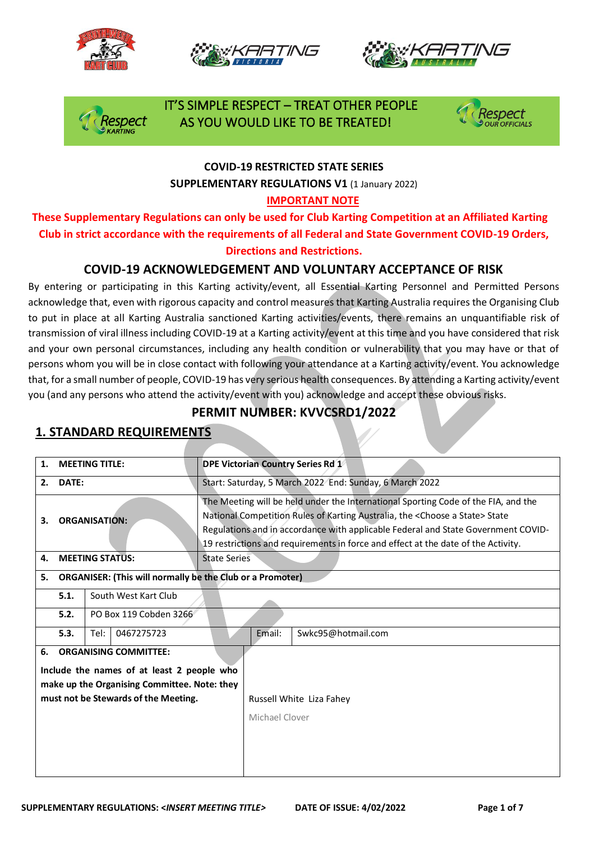







### IT'S SIMPLE RESPECT – TREAT OTHER PEOPLE spect AS YOU WOULD LIKE TO BE TREATED!



#### **COVID-19 RESTRICTED STATE SERIES SUPPLEMENTARY REGULATIONS V1** (1 January 2022)

#### **IMPORTANT NOTE**

**These Supplementary Regulations can only be used for Club Karting Competition at an Affiliated Karting Club in strict accordance with the requirements of all Federal and State Government COVID-19 Orders, Directions and Restrictions.** 

#### **COVID-19 ACKNOWLEDGEMENT AND VOLUNTARY ACCEPTANCE OF RISK**

By entering or participating in this Karting activity/event, all Essential Karting Personnel and Permitted Persons acknowledge that, even with rigorous capacity and control measures that Karting Australia requires the Organising Club to put in place at all Karting Australia sanctioned Karting activities/events, there remains an unquantifiable risk of transmission of viral illness including COVID-19 at a Karting activity/event at this time and you have considered that risk and your own personal circumstances, including any health condition or vulnerability that you may have or that of persons whom you will be in close contact with following your attendance at a Karting activity/event. You acknowledge that, for a small number of people, COVID-19 has very serious health consequences. By attending a Karting activity/event you (and any persons who attend the activity/event with you) acknowledge and accept these obvious risks.

#### **PERMIT NUMBER: KVVCSRD1/2022**

## **1. MEETING TITLE: DPE Victorian Country Series Rd 1 2. DATE:** Start: Saturday, 5 March 2022 End: Sunday, 6 March 2022 **3. ORGANISATION:** The Meeting will be held under the International Sporting Code of the FIA, and the National Competition Rules of Karting Australia, the <Choose a State> State Regulations and in accordance with applicable Federal and State Government COVID-19 restrictions and requirements in force and effect at the date of the Activity. **4. MEETING STATUS:** State Series **5. ORGANISER: (This will normally be the Club or a Promoter) 5.1.** South West Kart Club **5.2.** PO Box 119 Cobden 3266 **5.3.** Tel: 0467275723 Email: Swkc95@hotmail.com **6. ORGANISING COMMITTEE: Include the names of at least 2 people who make up the Organising Committee. Note: they must not be Stewards of the Meeting.** Russell White Liza Fahey Michael Clover

#### **1. STANDARD REQUIREMENTS**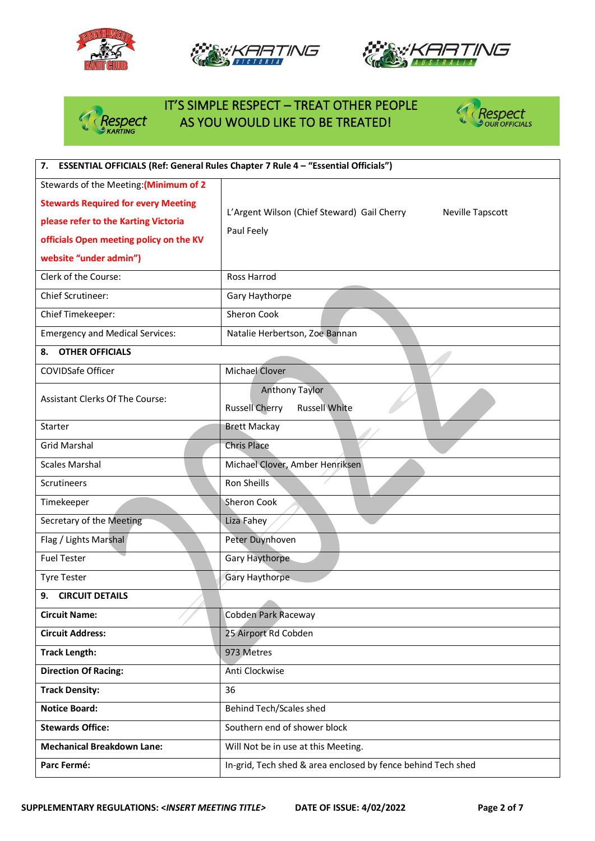







# IT'S SIMPLE RESPECT – TREAT OTHER PEOPLE<br>*Respect* AS YOU WOULD LIKE TO BE TREATED! AS YOU WOULD LIKE TO BE TREATED!



| 7. ESSENTIAL OFFICIALS (Ref: General Rules Chapter 7 Rule 4 - "Essential Officials")                                                                                                              |                                                                                      |  |
|---------------------------------------------------------------------------------------------------------------------------------------------------------------------------------------------------|--------------------------------------------------------------------------------------|--|
| Stewards of the Meeting: (Minimum of 2<br><b>Stewards Required for every Meeting</b><br>please refer to the Karting Victoria<br>officials Open meeting policy on the KV<br>website "under admin") | L'Argent Wilson (Chief Steward) Gail Cherry<br><b>Neville Tapscott</b><br>Paul Feely |  |
| Clerk of the Course:                                                                                                                                                                              | Ross Harrod                                                                          |  |
| Chief Scrutineer:                                                                                                                                                                                 | Gary Haythorpe                                                                       |  |
| Chief Timekeeper:                                                                                                                                                                                 | Sheron Cook                                                                          |  |
| <b>Emergency and Medical Services:</b>                                                                                                                                                            | Natalie Herbertson, Zoe Bannan                                                       |  |
| <b>OTHER OFFICIALS</b><br>8.                                                                                                                                                                      |                                                                                      |  |
| COVIDSafe Officer                                                                                                                                                                                 | Michael Clover                                                                       |  |
| <b>Assistant Clerks Of The Course:</b>                                                                                                                                                            | <b>Anthony Taylor</b><br><b>Russell Cherry</b><br><b>Russell White</b>               |  |
| Starter                                                                                                                                                                                           | <b>Brett Mackay</b>                                                                  |  |
| <b>Grid Marshal</b>                                                                                                                                                                               | <b>Chris Place</b>                                                                   |  |
| <b>Scales Marshal</b>                                                                                                                                                                             | Michael Clover, Amber Henriksen                                                      |  |
| Scrutineers                                                                                                                                                                                       | Ron Sheills                                                                          |  |
| Timekeeper                                                                                                                                                                                        | <b>Sheron Cook</b>                                                                   |  |
| Secretary of the Meeting                                                                                                                                                                          | Liza Fahey                                                                           |  |
| Flag / Lights Marshal                                                                                                                                                                             | Peter Duynhoven                                                                      |  |
| <b>Fuel Tester</b>                                                                                                                                                                                | Gary Haythorpe                                                                       |  |
| <b>Tyre Tester</b>                                                                                                                                                                                | Gary Haythorpe                                                                       |  |
| <b>CIRCUIT DETAILS</b><br>9.                                                                                                                                                                      |                                                                                      |  |
| <b>Circuit Name:</b>                                                                                                                                                                              | Cobden Park Raceway                                                                  |  |
| <b>Circuit Address:</b>                                                                                                                                                                           | 25 Airport Rd Cobden                                                                 |  |
| <b>Track Length:</b>                                                                                                                                                                              | 973 Metres                                                                           |  |
| <b>Direction Of Racing:</b>                                                                                                                                                                       | Anti Clockwise                                                                       |  |
| <b>Track Density:</b>                                                                                                                                                                             | 36                                                                                   |  |
| <b>Notice Board:</b>                                                                                                                                                                              | Behind Tech/Scales shed                                                              |  |
| <b>Stewards Office:</b>                                                                                                                                                                           | Southern end of shower block                                                         |  |
| <b>Mechanical Breakdown Lane:</b>                                                                                                                                                                 | Will Not be in use at this Meeting.                                                  |  |
| Parc Fermé:                                                                                                                                                                                       | In-grid, Tech shed & area enclosed by fence behind Tech shed                         |  |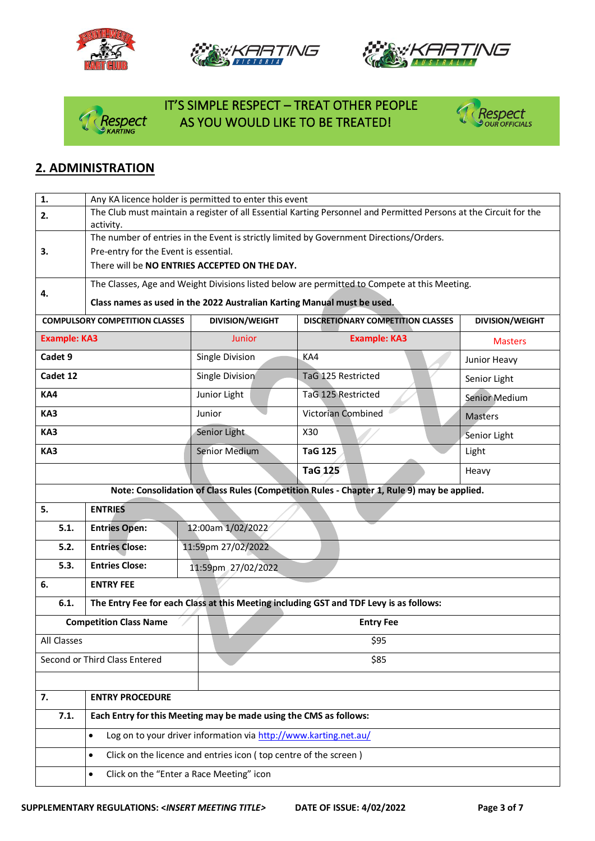







## IT'S SIMPLE RESPECT – TREAT OTHER PEOPLE AS YOU WOULD LIKE TO BE TREATED!



#### **2. ADMINISTRATION**

| 1.                  | Any KA licence holder is permitted to enter this event                                                            |                                                                   |                                                                                              |                        |
|---------------------|-------------------------------------------------------------------------------------------------------------------|-------------------------------------------------------------------|----------------------------------------------------------------------------------------------|------------------------|
| 2.                  | The Club must maintain a register of all Essential Karting Personnel and Permitted Persons at the Circuit for the |                                                                   |                                                                                              |                        |
|                     | activity.                                                                                                         |                                                                   |                                                                                              |                        |
|                     |                                                                                                                   |                                                                   | The number of entries in the Event is strictly limited by Government Directions/Orders.      |                        |
| 3.                  | Pre-entry for the Event is essential.                                                                             | There will be NO ENTRIES ACCEPTED ON THE DAY.                     |                                                                                              |                        |
|                     |                                                                                                                   |                                                                   |                                                                                              |                        |
| 4.                  |                                                                                                                   |                                                                   | The Classes, Age and Weight Divisions listed below are permitted to Compete at this Meeting. |                        |
|                     | Class names as used in the 2022 Australian Karting Manual must be used.                                           |                                                                   |                                                                                              |                        |
|                     | <b>COMPULSORY COMPETITION CLASSES</b>                                                                             | <b>DIVISION/WEIGHT</b>                                            | <b>DISCRETIONARY COMPETITION CLASSES</b>                                                     | <b>DIVISION/WEIGHT</b> |
| <b>Example: KA3</b> |                                                                                                                   | Junior                                                            | <b>Example: KA3</b>                                                                          | <b>Masters</b>         |
| Cadet 9             |                                                                                                                   | Single Division                                                   | KA4                                                                                          | Junior Heavy           |
| Cadet 12            |                                                                                                                   | Single Division                                                   | TaG 125 Restricted                                                                           | Senior Light           |
| KA4                 |                                                                                                                   | Junior Light                                                      | TaG 125 Restricted                                                                           | <b>Senior Medium</b>   |
| KA3                 |                                                                                                                   | Junior                                                            | Victorian Combined                                                                           | <b>Masters</b>         |
| KA3                 |                                                                                                                   | Senior Light                                                      | X30                                                                                          | Senior Light           |
| KA3                 |                                                                                                                   | Senior Medium                                                     | <b>TaG 125</b>                                                                               | Light                  |
|                     |                                                                                                                   |                                                                   | TaG 125                                                                                      | Heavy                  |
|                     |                                                                                                                   |                                                                   | Note: Consolidation of Class Rules (Competition Rules - Chapter 1, Rule 9) may be applied.   |                        |
| 5.                  | <b>ENTRIES</b>                                                                                                    |                                                                   |                                                                                              |                        |
| 5.1.                | <b>Entries Open:</b>                                                                                              | 12:00am 1/02/2022                                                 |                                                                                              |                        |
| 5.2.                | <b>Entries Close:</b>                                                                                             | 11:59pm 27/02/2022                                                |                                                                                              |                        |
| 5.3.                | <b>Entries Close:</b>                                                                                             | 11:59pm 27/02/2022                                                |                                                                                              |                        |
| 6.                  | <b>ENTRY FEE</b>                                                                                                  |                                                                   |                                                                                              |                        |
| 6.1.                |                                                                                                                   |                                                                   | The Entry Fee for each Class at this Meeting including GST and TDF Levy is as follows:       |                        |
|                     | <b>Competition Class Name</b>                                                                                     |                                                                   | <b>Entry Fee</b>                                                                             |                        |
| All Classes         |                                                                                                                   |                                                                   | \$95                                                                                         |                        |
|                     | Second or Third Class Entered                                                                                     |                                                                   | \$85                                                                                         |                        |
|                     |                                                                                                                   |                                                                   |                                                                                              |                        |
| 7.                  | <b>ENTRY PROCEDURE</b>                                                                                            |                                                                   |                                                                                              |                        |
| 7.1.                |                                                                                                                   | Each Entry for this Meeting may be made using the CMS as follows: |                                                                                              |                        |
|                     | $\bullet$                                                                                                         | Log on to your driver information via http://www.karting.net.au/  |                                                                                              |                        |
|                     | Click on the licence and entries icon (top centre of the screen)<br>$\bullet$                                     |                                                                   |                                                                                              |                        |
|                     | $\bullet$                                                                                                         | Click on the "Enter a Race Meeting" icon                          |                                                                                              |                        |
|                     |                                                                                                                   |                                                                   |                                                                                              |                        |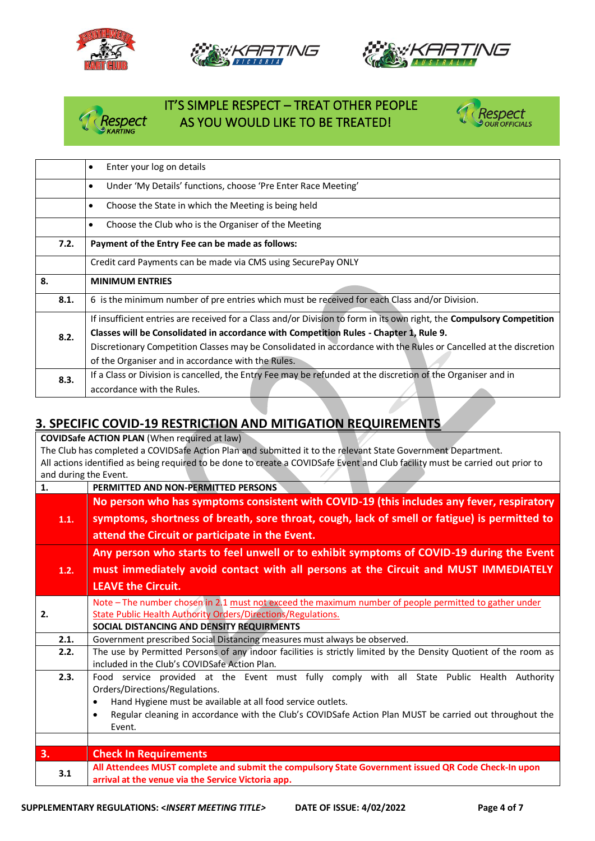







### IT'S SIMPLE RESPECT – TREAT OTHER PEOPLE AS YOU WOULD LIKE TO BE TREATED!



|      | Enter your log on details<br>$\bullet$                                                                                       |  |
|------|------------------------------------------------------------------------------------------------------------------------------|--|
|      | Under 'My Details' functions, choose 'Pre Enter Race Meeting'<br>$\bullet$                                                   |  |
|      | Choose the State in which the Meeting is being held<br>$\bullet$                                                             |  |
|      | Choose the Club who is the Organiser of the Meeting<br>$\bullet$                                                             |  |
| 7.2. | Payment of the Entry Fee can be made as follows:                                                                             |  |
|      | Credit card Payments can be made via CMS using SecurePay ONLY                                                                |  |
| 8.   | <b>MINIMUM ENTRIES</b>                                                                                                       |  |
| 8.1. | 6 is the minimum number of pre entries which must be received for each Class and/or Division.                                |  |
|      | If insufficient entries are received for a Class and/or Division to form in its own right, the <b>Compulsory Competition</b> |  |
| 8.2. | Classes will be Consolidated in accordance with Competition Rules - Chapter 1, Rule 9.                                       |  |
|      | Discretionary Competition Classes may be Consolidated in accordance with the Rules or Cancelled at the discretion            |  |
|      | of the Organiser and in accordance with the Rules.                                                                           |  |
| 8.3. | If a Class or Division is cancelled, the Entry Fee may be refunded at the discretion of the Organiser and in                 |  |
|      | accordance with the Rules.                                                                                                   |  |

### **3. SPECIFIC COVID-19 RESTRICTION AND MITIGATION REQUIREMENTS**

**COVIDSafe ACTION PLAN** (When required at law) The Club has completed a COVIDSafe Action Plan and submitted it to the relevant State Government Department. All actions identified as being required to be done to create a COVIDSafe Event and Club facility must be carried out prior to and during the Event. **1. PERMITTED AND NON-PERMITTED PERSONS 1.1. No person who has symptoms consistent with COVID-19 (this includes any fever, respiratory symptoms, shortness of breath, sore throat, cough, lack of smell or fatigue) is permitted to attend the Circuit or participate in the Event. 1.2. Any person who starts to feel unwell or to exhibit symptoms of COVID-19 during the Event must immediately avoid contact with all persons at the Circuit and MUST IMMEDIATELY LEAVE the Circuit. 2.** Note – The number chosen in 2.1 must not exceed the maximum number of people permitted to gather under State Public Health Authority Orders/Directions/Regulations. **SOCIAL DISTANCING AND DENSITY REQUIRMENTS 2.1.** Government prescribed Social Distancing measures must always be observed. **2.2.** The use by Permitted Persons of any indoor facilities is strictly limited by the Density Quotient of the room as included in the Club's COVIDSafe Action Plan. **2.3.** Food service provided at the Event must fully comply with all State Public Health Authority Orders/Directions/Regulations. • Hand Hygiene must be available at all food service outlets. • Regular cleaning in accordance with the Club's COVIDSafe Action Plan MUST be carried out throughout the Event. **3. Check In Requirements 3.1 All Attendees MUST complete and submit the compulsory State Government issued QR Code Check-In upon arrival at the venue via the Service Victoria app.**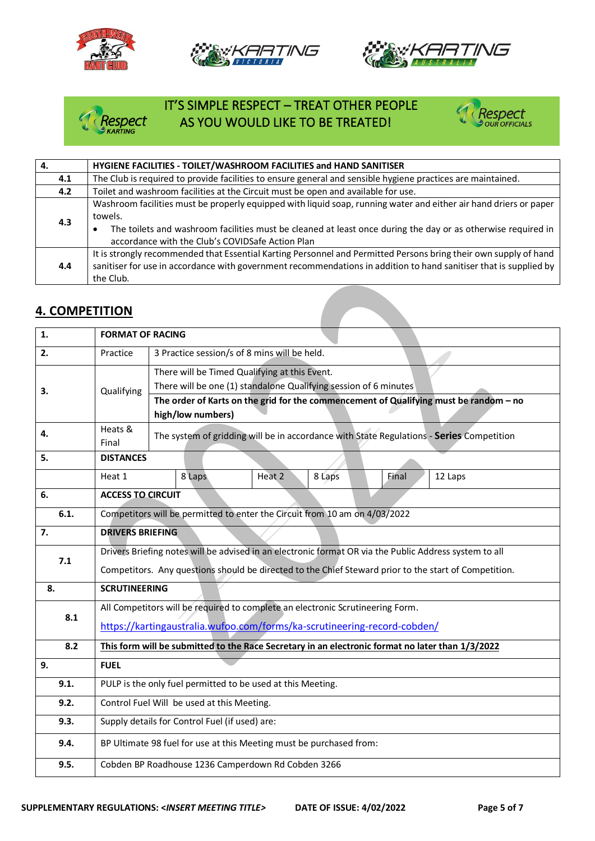







# IT'S SIMPLE RESPECT – TREAT OTHER PEOPLE<br>
Respect AS YOU WOULD LIKE TO BE TREATED! AS YOU WOULD LIKE TO BE TREATED!



| 4.  | HYGIENE FACILITIES - TOILET/WASHROOM FACILITIES and HAND SANITISER                                                                                                                                                                                                                               |
|-----|--------------------------------------------------------------------------------------------------------------------------------------------------------------------------------------------------------------------------------------------------------------------------------------------------|
| 4.1 | The Club is required to provide facilities to ensure general and sensible hygiene practices are maintained.                                                                                                                                                                                      |
| 4.2 | Toilet and washroom facilities at the Circuit must be open and available for use.                                                                                                                                                                                                                |
| 4.3 | Washroom facilities must be properly equipped with liquid soap, running water and either air hand driers or paper<br>towels.<br>The toilets and washroom facilities must be cleaned at least once during the day or as otherwise required in<br>accordance with the Club's COVIDSafe Action Plan |
| 4.4 | It is strongly recommended that Essential Karting Personnel and Permitted Persons bring their own supply of hand<br>sanitiser for use in accordance with government recommendations in addition to hand sanitiser that is supplied by<br>the Club.                                               |

#### **4. COMPETITION**

| 1.   | <b>FORMAT OF RACING</b>                                                                                |                                                                                          |  |  |
|------|--------------------------------------------------------------------------------------------------------|------------------------------------------------------------------------------------------|--|--|
| 2.   | Practice                                                                                               | 3 Practice session/s of 8 mins will be held.                                             |  |  |
|      |                                                                                                        | There will be Timed Qualifying at this Event.                                            |  |  |
| 3.   | Qualifying                                                                                             | There will be one (1) standalone Qualifying session of 6 minutes                         |  |  |
|      |                                                                                                        | The order of Karts on the grid for the commencement of Qualifying must be random - no    |  |  |
|      |                                                                                                        | high/low numbers)                                                                        |  |  |
| 4.   | Heats &<br>Final                                                                                       | The system of gridding will be in accordance with State Regulations - Series Competition |  |  |
| 5.   | <b>DISTANCES</b>                                                                                       |                                                                                          |  |  |
|      | Heat 1                                                                                                 | 8 Laps<br>Heat 2<br>8 Laps<br>Final<br>12 Laps                                           |  |  |
| 6.   | <b>ACCESS TO CIRCUIT</b>                                                                               |                                                                                          |  |  |
| 6.1. | Competitors will be permitted to enter the Circuit from 10 am on 4/03/2022                             |                                                                                          |  |  |
| 7.   | <b>DRIVERS BRIEFING</b>                                                                                |                                                                                          |  |  |
| 7.1  | Drivers Briefing notes will be advised in an electronic format OR via the Public Address system to all |                                                                                          |  |  |
|      | Competitors. Any questions should be directed to the Chief Steward prior to the start of Competition.  |                                                                                          |  |  |
| 8.   | <b>SCRUTINEERING</b>                                                                                   |                                                                                          |  |  |
|      |                                                                                                        | All Competitors will be required to complete an electronic Scrutineering Form.           |  |  |
| 8.1  | https://kartingaustralia.wufoo.com/forms/ka-scrutineering-record-cobden/                               |                                                                                          |  |  |
| 8.2  | This form will be submitted to the Race Secretary in an electronic format no later than 1/3/2022       |                                                                                          |  |  |
| 9.   | <b>FUEL</b>                                                                                            |                                                                                          |  |  |
| 9.1. | PULP is the only fuel permitted to be used at this Meeting.                                            |                                                                                          |  |  |
| 9.2. | Control Fuel Will be used at this Meeting.                                                             |                                                                                          |  |  |
| 9.3. | Supply details for Control Fuel (if used) are:                                                         |                                                                                          |  |  |
| 9.4. | BP Ultimate 98 fuel for use at this Meeting must be purchased from:                                    |                                                                                          |  |  |
| 9.5. | Cobden BP Roadhouse 1236 Camperdown Rd Cobden 3266                                                     |                                                                                          |  |  |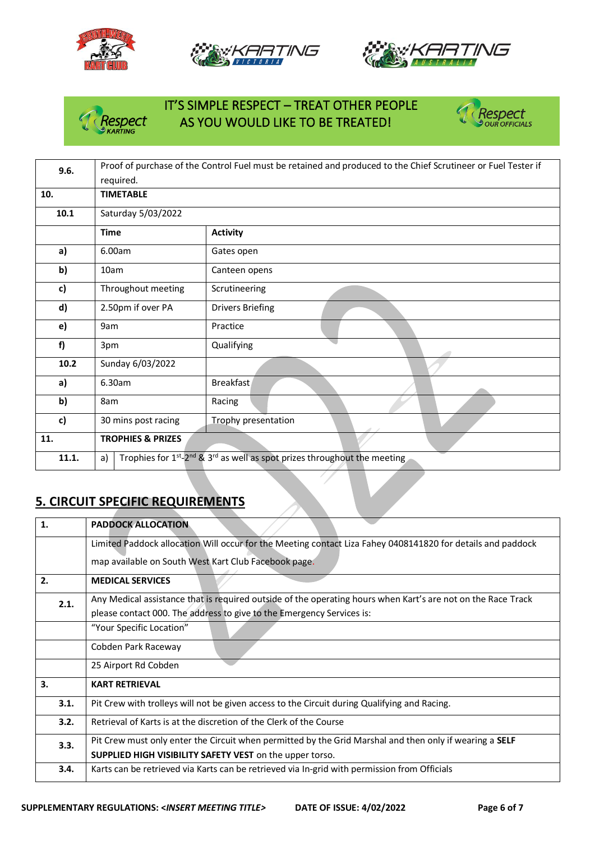







### IT'S SIMPLE RESPECT – TREAT OTHER PEOPLE Respect AS YOU WOULD LIKE TO BE TREATED!



| 9.6.  | Proof of purchase of the Control Fuel must be retained and produced to the Chief Scrutineer or Fuel Tester if |                                                                                                        |  |
|-------|---------------------------------------------------------------------------------------------------------------|--------------------------------------------------------------------------------------------------------|--|
|       | required.                                                                                                     |                                                                                                        |  |
| 10.   | <b>TIMETABLE</b>                                                                                              |                                                                                                        |  |
| 10.1  | Saturday 5/03/2022                                                                                            |                                                                                                        |  |
|       | <b>Time</b>                                                                                                   | <b>Activity</b>                                                                                        |  |
| a)    | 6.00am                                                                                                        | Gates open                                                                                             |  |
| b)    | 10am                                                                                                          | Canteen opens                                                                                          |  |
| c)    | Throughout meeting                                                                                            | Scrutineering                                                                                          |  |
| d)    | 2.50pm if over PA                                                                                             | <b>Drivers Briefing</b>                                                                                |  |
| e)    | 9am                                                                                                           | Practice                                                                                               |  |
| f)    | 3pm                                                                                                           | Qualifying                                                                                             |  |
| 10.2  | Sunday 6/03/2022                                                                                              |                                                                                                        |  |
| a)    | 6.30am                                                                                                        | <b>Breakfast</b>                                                                                       |  |
| b)    | 8am                                                                                                           | Racing                                                                                                 |  |
| c)    | 30 mins post racing                                                                                           | Trophy presentation                                                                                    |  |
| 11.   | <b>TROPHIES &amp; PRIZES</b>                                                                                  |                                                                                                        |  |
| 11.1. | a)                                                                                                            | Trophies for $1^{st}$ -2 <sup>nd</sup> & 3 <sup>rd</sup> as well as spot prizes throughout the meeting |  |

#### **5. CIRCUIT SPECIFIC REQUIREMENTS**

| 1.   | <b>PADDOCK ALLOCATION</b>                                                                                      |
|------|----------------------------------------------------------------------------------------------------------------|
|      | Limited Paddock allocation Will occur for the Meeting contact Liza Fahey 0408141820 for details and paddock    |
|      | map available on South West Kart Club Facebook page.                                                           |
| 2.   | <b>MEDICAL SERVICES</b>                                                                                        |
| 2.1. | Any Medical assistance that is required outside of the operating hours when Kart's are not on the Race Track   |
|      | please contact 000. The address to give to the Emergency Services is:                                          |
|      | "Your Specific Location"                                                                                       |
|      | Cobden Park Raceway                                                                                            |
|      | 25 Airport Rd Cobden                                                                                           |
| 3.   | <b>KART RETRIEVAL</b>                                                                                          |
| 3.1. | Pit Crew with trolleys will not be given access to the Circuit during Qualifying and Racing.                   |
| 3.2. | Retrieval of Karts is at the discretion of the Clerk of the Course                                             |
| 3.3. | Pit Crew must only enter the Circuit when permitted by the Grid Marshal and then only if wearing a <b>SELF</b> |
|      | SUPPLIED HIGH VISIBILITY SAFETY VEST on the upper torso.                                                       |
| 3.4. | Karts can be retrieved via Karts can be retrieved via In-grid with permission from Officials                   |